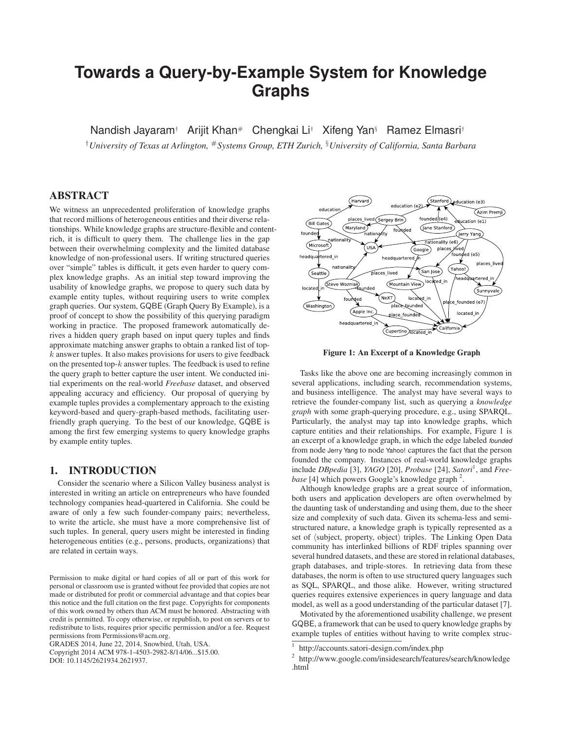# **Towards a Query-by-Example System for Knowledge Graphs**

Nandish Jayaram† Arijit Khan# Chengkai Li† Xifeng Yan§ Ramez Elmasri†

†*University of Texas at Arlington,* #*Systems Group, ETH Zurich,* §*University of California, Santa Barbara*

## **ABSTRACT**

We witness an unprecedented proliferation of knowledge graphs that record millions of heterogeneous entities and their diverse relationships. While knowledge graphs are structure-flexible and contentrich, it is difficult to query them. The challenge lies in the gap between their overwhelming complexity and the limited database knowledge of non-professional users. If writing structured queries over "simple" tables is difficult, it gets even harder to query complex knowledge graphs. As an initial step toward improving the usability of knowledge graphs, we propose to query such data by example entity tuples, without requiring users to write complex graph queries. Our system, GQBE (Graph Query By Example), is a proof of concept to show the possibility of this querying paradigm working in practice. The proposed framework automatically derives a hidden query graph based on input query tuples and finds approximate matching answer graphs to obtain a ranked list of top $k$  answer tuples. It also makes provisions for users to give feedback on the presented top- $k$  answer tuples. The feedback is used to refine the query graph to better capture the user intent. We conducted initial experiments on the real-world *Freebase* dataset, and observed appealing accuracy and efficiency. Our proposal of querying by example tuples provides a complementary approach to the existing keyword-based and query-graph-based methods, facilitating userfriendly graph querying. To the best of our knowledge, GQBE is among the first few emerging systems to query knowledge graphs by example entity tuples.

# **1. INTRODUCTION**

Consider the scenario where a Silicon Valley business analyst is interested in writing an article on entrepreneurs who have founded technology companies head-quartered in California. She could be aware of only a few such founder-company pairs; nevertheless, to write the article, she must have a more comprehensive list of such tuples. In general, query users might be interested in finding heterogeneous entities (e.g., persons, products, organizations) that are related in certain ways.

GRADES 2014, June 22, 2014, Snowbird, Utah, USA. Copyright 2014 ACM 978-1-4503-2982-8/14/06...\$15.00.

DOI: 10.1145/2621934.2621937.



**Figure 1: An Excerpt of a Knowledge Graph**

Tasks like the above one are becoming increasingly common in several applications, including search, recommendation systems, and business intelligence. The analyst may have several ways to retrieve the founder-company list, such as querying a *knowledge graph* with some graph-querying procedure, e.g., using SPARQL. Particularly, the analyst may tap into knowledge graphs, which capture entities and their relationships. For example, Figure 1 is an excerpt of a knowledge graph, in which the edge labeled founded from node Jerry Yang to node Yahoo! captures the fact that the person founded the company. Instances of real-world knowledge graphs include *DBpedia* [3], *YAGO* [20], *Probase* [24], *Satori*<sup>1</sup>, and *Free*base [4] which powers Google's knowledge graph<sup>2</sup>.

Although knowledge graphs are a great source of information, both users and application developers are often overwhelmed by the daunting task of understanding and using them, due to the sheer size and complexity of such data. Given its schema-less and semistructured nature, a knowledge graph is typically represented as a set of  $\langle$ subject, property, object $\rangle$  triples. The Linking Open Data community has interlinked billions of RDF triples spanning over several hundred datasets, and these are stored in relational databases, graph databases, and triple-stores. In retrieving data from these databases, the norm is often to use structured query languages such as SQL, SPARQL, and those alike. However, writing structured queries requires extensive experiences in query language and data model, as well as a good understanding of the particular dataset [7].

Motivated by the aforementioned usability challenge, we present GQBE, a framework that can be used to query knowledge graphs by example tuples of entities without having to write complex struc-

Permission to make digital or hard copies of all or part of this work for personal or classroom use is granted without fee provided that copies are not made or distributed for profit or commercial advantage and that copies bear this notice and the full citation on the first page. Copyrights for components of this work owned by others than ACM must be honored. Abstracting with credit is permitted. To copy otherwise, or republish, to post on servers or to redistribute to lists, requires prior specific permission and/or a fee. Request permissions from Permissions@acm.org.

<sup>1</sup> http://accounts.satori-design.com/index.php

<sup>&</sup>lt;sup>2</sup> http://www.google.com/insidesearch/features/search/knowledge .html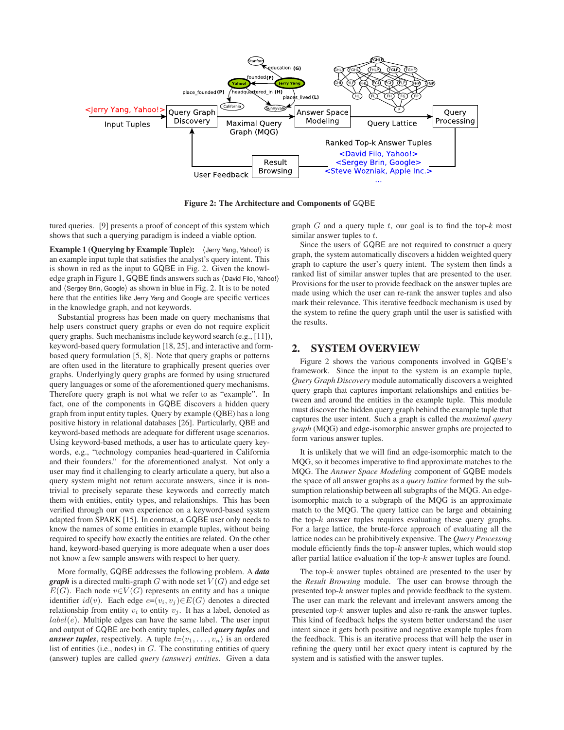

**Figure 2: The Architecture and Components of** GQBE

tured queries. [9] presents a proof of concept of this system which shows that such a querying paradigm is indeed a viable option.

**Example 1 (Querying by Example Tuple):**  $\langle$  Jerry Yang, Yahoo!) is an example input tuple that satisfies the analyst's query intent. This is shown in red as the input to GQBE in Fig. 2. Given the knowledge graph in Figure 1, GQBE finds answers such as (David Filo, Yahoo!) and  $\langle$  Sergey Brin, Google $\rangle$  as shown in blue in Fig. 2. It is to be noted here that the entities like Jerry Yang and Google are specific vertices in the knowledge graph, and not keywords.

Substantial progress has been made on query mechanisms that help users construct query graphs or even do not require explicit query graphs. Such mechanisms include keyword search (e.g., [11]), keyword-based query formulation [18, 25], and interactive and formbased query formulation [5, 8]. Note that query graphs or patterns are often used in the literature to graphically present queries over graphs. Underlyingly query graphs are formed by using structured query languages or some of the aforementioned query mechanisms. Therefore query graph is not what we refer to as "example". In fact, one of the components in GQBE discovers a hidden query graph from input entity tuples. Query by example (QBE) has a long positive history in relational databases [26]. Particularly, QBE and keyword-based methods are adequate for different usage scenarios. Using keyword-based methods, a user has to articulate query keywords, e.g., "technology companies head-quartered in California and their founders." for the aforementioned analyst. Not only a user may find it challenging to clearly articulate a query, but also a query system might not return accurate answers, since it is nontrivial to precisely separate these keywords and correctly match them with entities, entity types, and relationships. This has been verified through our own experience on a keyword-based system adapted from SPARK [15]. In contrast, a GQBE user only needs to know the names of some entities in example tuples, without being required to specify how exactly the entities are related. On the other hand, keyword-based querying is more adequate when a user does not know a few sample answers with respect to her query.

More formally, GQBE addresses the following problem. A *data graph* is a directed multi-graph G with node set  $V(G)$  and edge set  $E(G)$ . Each node  $v \in V(G)$  represents an entity and has a unique identifier  $id(v)$ . Each edge  $e=(v_i, v_j) \in E(G)$  denotes a directed relationship from entity  $v_i$  to entity  $v_j$ . It has a label, denoted as  $label(e)$ . Multiple edges can have the same label. The user input and output of GQBE are both entity tuples, called *query tuples* and *answer tuples*, respectively. A tuple  $t = \langle v_1, \ldots, v_n \rangle$  is an ordered list of entities (i.e., nodes) in  $G$ . The constituting entities of query (answer) tuples are called *query (answer) entities*. Given a data

graph G and a query tuple t, our goal is to find the top-*k* most similar answer tuples to t.

Since the users of GQBE are not required to construct a query graph, the system automatically discovers a hidden weighted query graph to capture the user's query intent. The system then finds a ranked list of similar answer tuples that are presented to the user. Provisions for the user to provide feedback on the answer tuples are made using which the user can re-rank the answer tuples and also mark their relevance. This iterative feedback mechanism is used by the system to refine the query graph until the user is satisfied with the results.

#### **2. SYSTEM OVERVIEW**

Figure 2 shows the various components involved in GQBE's framework. Since the input to the system is an example tuple, *Query Graph Discovery* module automatically discovers a weighted query graph that captures important relationships and entities between and around the entities in the example tuple. This module must discover the hidden query graph behind the example tuple that captures the user intent. Such a graph is called the *maximal query graph* (MQG) and edge-isomorphic answer graphs are projected to form various answer tuples.

It is unlikely that we will find an edge-isomorphic match to the MQG, so it becomes imperative to find approximate matches to the MQG. The *Answer Space Modeling* component of GQBE models the space of all answer graphs as a *query lattice* formed by the subsumption relationship between all subgraphs of the MQG. An edgeisomorphic match to a subgraph of the MQG is an approximate match to the MQG. The query lattice can be large and obtaining the top- $k$  answer tuples requires evaluating these query graphs. For a large lattice, the brute-force approach of evaluating all the lattice nodes can be prohibitively expensive. The *Query Processing* module efficiently finds the top- $k$  answer tuples, which would stop after partial lattice evaluation if the top- $k$  answer tuples are found.

The top- $k$  answer tuples obtained are presented to the user by the *Result Browsing* module. The user can browse through the presented top-k answer tuples and provide feedback to the system. The user can mark the relevant and irrelevant answers among the presented top-k answer tuples and also re-rank the answer tuples. This kind of feedback helps the system better understand the user intent since it gets both positive and negative example tuples from the feedback. This is an iterative process that will help the user in refining the query until her exact query intent is captured by the system and is satisfied with the answer tuples.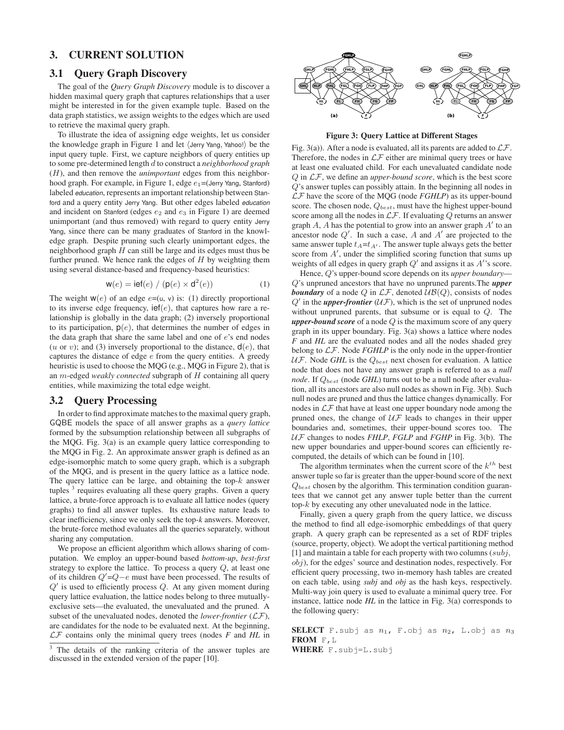# **3. CURRENT SOLUTION**

## **3.1 Query Graph Discovery**

The goal of the *Query Graph Discovery* module is to discover a hidden maximal query graph that captures relationships that a user might be interested in for the given example tuple. Based on the data graph statistics, we assign weights to the edges which are used to retrieve the maximal query graph.

To illustrate the idea of assigning edge weights, let us consider the knowledge graph in Figure 1 and let  $\langle$  Jerry Yang, Yahoo! $\rangle$  be the input query tuple. First, we capture neighbors of query entities up to some pre-determined length d to construct a *neighborhood graph* (H), and then remove the *unimportant* edges from this neighborhood graph. For example, in Figure 1, edge  $e_1$ =(Jerry Yang, Stanford) labeled education, represents an important relationship between Stanford and a query entity Jerry Yang. But other edges labeled education and incident on Stanford (edges  $e_2$  and  $e_3$  in Figure 1) are deemed unimportant (and thus removed) with regard to query entity Jerry Yang, since there can be many graduates of Stanford in the knowledge graph. Despite pruning such clearly unimportant edges, the neighborhood graph  $H$  can still be large and its edges must thus be further pruned. We hence rank the edges of  $H$  by weighting them using several distance-based and frequency-based heuristics:

$$
\mathbf{w}(e) = \mathbf{ief}(e) / (\mathbf{p}(e) \times \mathbf{d}^2(e))
$$
 (1)

The weight  $w(e)$  of an edge  $e=(u, v)$  is: (1) directly proportional to its inverse edge frequency,  $\text{ief}(e)$ , that captures how rare a relationship is globally in the data graph; (2) inversely proportional to its participation,  $p(e)$ , that determines the number of edges in the data graph that share the same label and one of e's end nodes (u or v); and (3) inversely proportional to the distance,  $d(e)$ , that captures the distance of edge  $e$  from the query entities. A greedy heuristic is used to choose the MQG (e.g., MQG in Figure 2), that is an m-edged *weakly connected* subgraph of H containing all query entities, while maximizing the total edge weight.

#### **3.2 Query Processing**

In order to find approximate matches to the maximal query graph, GQBE models the space of all answer graphs as a *query lattice* formed by the subsumption relationship between all subgraphs of the MQG. Fig. 3(a) is an example query lattice corresponding to the MQG in Fig. 2. An approximate answer graph is defined as an edge-isomorphic match to some query graph, which is a subgraph of the MQG, and is present in the query lattice as a lattice node. The query lattice can be large, and obtaining the top- $k$  answer tuples  $3$  requires evaluating all these query graphs. Given a query lattice, a brute-force approach is to evaluate all lattice nodes (query graphs) to find all answer tuples. Its exhaustive nature leads to clear inefficiency, since we only seek the top-*k* answers. Moreover, the brute-force method evaluates all the queries separately, without sharing any computation.

We propose an efficient algorithm which allows sharing of computation. We employ an upper-bound based *bottom-up*, *best-first* strategy to explore the lattice. To process a query Q, at least one of its children  $Q'$ = $Q$  –  $e$  must have been processed. The results of  $Q'$  is used to efficiently process  $Q$ . At any given moment during query lattice evaluation, the lattice nodes belong to three mutuallyexclusive sets—the evaluated, the unevaluated and the pruned. A subset of the unevaluated nodes, denoted the *lower-frontier* (LF), are candidates for the node to be evaluated next. At the beginning,  $LF$  contains only the minimal query trees (nodes  $F$  and  $HL$  in



**Figure 3: Query Lattice at Different Stages**

Fig. 3(a)). After a node is evaluated, all its parents are added to  $\mathcal{LF}.$ Therefore, the nodes in  $\mathcal{LF}$  either are minimal query trees or have at least one evaluated child. For each unevaluated candidate node Q in LF, we define an *upper-bound score*, which is the best score Q's answer tuples can possibly attain. In the beginning all nodes in LF have the score of the MQG (node *FGHLP*) as its upper-bound score. The chosen node,  $Q_{best}$ , must have the highest upper-bound score among all the nodes in  $\mathcal{LF}$ . If evaluating  $Q$  returns an answer graph  $A$ ,  $A$  has the potential to grow into an answer graph  $A'$  to an ancestor node  $Q'$ . In such a case, A and A' are projected to the same answer tuple  $t_A=t_{A'}$ . The answer tuple always gets the better score from  $A'$ , under the simplified scoring function that sums up weights of all edges in query graph  $Q'$  and assigns it as  $A'$ 's score.

Hence, Q's upper-bound score depends on its *upper boundary*— Q's unpruned ancestors that have no unpruned parents.The *upper* **boundary** of a node  $Q$  in  $LF$ , denoted  $UB(Q)$ , consists of nodes  $Q'$  in the *upper-frontier* ( $U\mathcal{F}$ ), which is the set of unpruned nodes without unpruned parents, that subsume or is equal to Q. The *upper-bound score* of a node Q is the maximum score of any query graph in its upper boundary. Fig. 3(a) shows a lattice where nodes *F* and *HL* are the evaluated nodes and all the nodes shaded grey belong to LF. Node *FGHLP* is the only node in the upper-frontier  $U\mathcal{F}$ . Node *GHL* is the  $Q_{best}$  next chosen for evaluation. A lattice node that does not have any answer graph is referred to as a *null node*. If  $Q_{best}$  (node *GHL*) turns out to be a null node after evaluation, all its ancestors are also null nodes as shown in Fig. 3(b). Such null nodes are pruned and thus the lattice changes dynamically. For nodes in  $\mathcal{LF}$  that have at least one upper boundary node among the pruned ones, the change of  $U\mathcal{F}$  leads to changes in their upper boundaries and, sometimes, their upper-bound scores too. The UF changes to nodes *FHLP*, *FGLP* and *FGHP* in Fig. 3(b). The new upper boundaries and upper-bound scores can efficiently recomputed, the details of which can be found in [10].

The algorithm terminates when the current score of the  $k^{th}$  best answer tuple so far is greater than the upper-bound score of the next  $Q_{best}$  chosen by the algorithm. This termination condition guarantees that we cannot get any answer tuple better than the current top-k by executing any other unevaluated node in the lattice.

Finally, given a query graph from the query lattice, we discuss the method to find all edge-isomorphic embeddings of that query graph. A query graph can be represented as a set of RDF triples (source, property, object). We adopt the vertical partitioning method [1] and maintain a table for each property with two columns  $(subj,$ obj), for the edges' source and destination nodes, respectively. For efficient query processing, two in-memory hash tables are created on each table, using *subj* and *obj* as the hash keys, respectively. Multi-way join query is used to evaluate a minimal query tree. For instance, lattice node *HL* in the lattice in Fig. 3(a) corresponds to the following query:

**SELECT** F.subj as  $n_1$ , F.obj as  $n_2$ , L.obj as  $n_3$ **FROM** F,L

**WHERE** F.subj=L.subj

 $3$  The details of the ranking criteria of the answer tuples are discussed in the extended version of the paper [10].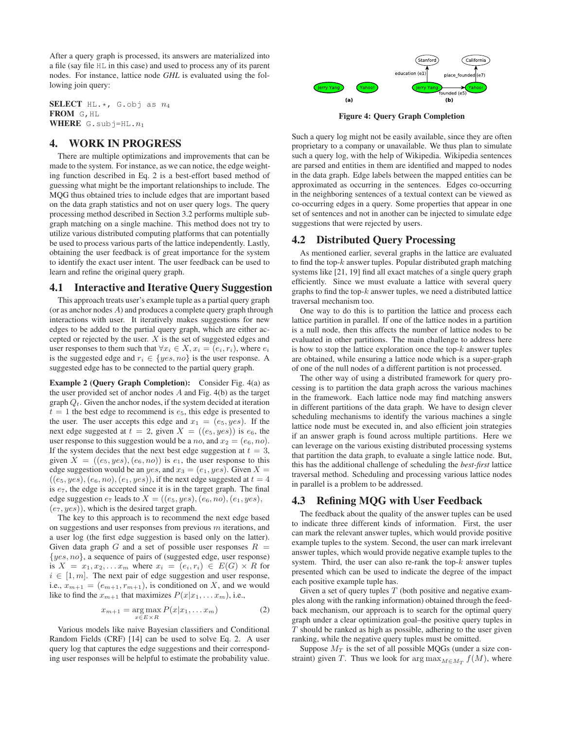After a query graph is processed, its answers are materialized into a file (say file HL in this case) and used to process any of its parent nodes. For instance, lattice node *GHL* is evaluated using the following join query:

**SELECT** HL.\*, G.obj as  $n_4$ **FROM** G,HL **WHERE**  $G.subj=HL.n_1$ 

## **4. WORK IN PROGRESS**

There are multiple optimizations and improvements that can be made to the system. For instance, as we can notice, the edge weighting function described in Eq. 2 is a best-effort based method of guessing what might be the important relationships to include. The MQG thus obtained tries to include edges that are important based on the data graph statistics and not on user query logs. The query processing method described in Section 3.2 performs multiple subgraph matching on a single machine. This method does not try to utilize various distributed computing platforms that can potentially be used to process various parts of the lattice independently. Lastly, obtaining the user feedback is of great importance for the system to identify the exact user intent. The user feedback can be used to learn and refine the original query graph.

#### **4.1 Interactive and Iterative Query Suggestion**

This approach treats user's example tuple as a partial query graph (or as anchor nodes  $A$ ) and produces a complete query graph through interactions with user. It iteratively makes suggestions for new edges to be added to the partial query graph, which are either accepted or rejected by the user.  $X$  is the set of suggested edges and user responses to them such that  $\forall x_i \in X, x_i = (e_i, r_i)$ , where  $e_i$ is the suggested edge and  $r_i \in \{yes, no\}$  is the user response. A suggested edge has to be connected to the partial query graph.

**Example 2 (Query Graph Completion):** Consider Fig. 4(a) as the user provided set of anchor nodes  $A$  and Fig. 4(b) as the target graph  $Q_t$ . Given the anchor nodes, if the system decided at iteration  $t = 1$  the best edge to recommend is  $e_5$ , this edge is presented to the user. The user accepts this edge and  $x_1 = (e_5, yes)$ . If the next edge suggested at  $t = 2$ , given  $X = ((e_5, y_5))$  is  $e_6$ , the user response to this suggestion would be a *no*, and  $x_2 = (e_6, no)$ . If the system decides that the next best edge suggestion at  $t = 3$ , given  $X = ((e_5, yes), (e_6, no))$  is  $e_1$ , the user response to this edge suggestion would be an yes, and  $x_3 = (e_1, yes)$ . Given  $X =$  $((e_5, yes), (e_6, no), (e_1, yes)),$  if the next edge suggested at  $t = 4$ is  $e_7$ , the edge is accepted since it is in the target graph. The final edge suggestion  $e_7$  leads to  $X = ((e_5, yes), (e_6, no), (e_1, yes),$  $(e_7, yes)$ , which is the desired target graph.

The key to this approach is to recommend the next edge based on suggestions and user responses from previous  $m$  iterations, and a user log (the first edge suggestion is based only on the latter). Given data graph G and a set of possible user responses  $R =$  $\{yes, no\}$ , a sequence of pairs of (suggested edge, user response) is  $X = x_1, x_2, \ldots x_m$  where  $x_i = (e_i, r_i) \in E(G) \times R$  for  $i \in [1, m]$ . The next pair of edge suggestion and user response, i.e.,  $x_{m+1} = (e_{m+1}, r_{m+1})$ , is conditioned on X, and we would like to find the  $x_{m+1}$  that maximizes  $P(x|x_1, \ldots x_m)$ , i.e.,

$$
x_{m+1} = \underset{x \in E \times R}{\arg \max} P(x|x_1, \dots x_m)
$$
 (2)

Various models like naive Bayesian classifiers and Conditional Random Fields (CRF) [14] can be used to solve Eq. 2. A user query log that captures the edge suggestions and their corresponding user responses will be helpful to estimate the probability value.



**Figure 4: Query Graph Completion**

Such a query log might not be easily available, since they are often proprietary to a company or unavailable. We thus plan to simulate such a query log, with the help of Wikipedia. Wikipedia sentences are parsed and entities in them are identified and mapped to nodes in the data graph. Edge labels between the mapped entities can be approximated as occurring in the sentences. Edges co-occurring in the neighboring sentences of a textual context can be viewed as co-occurring edges in a query. Some properties that appear in one set of sentences and not in another can be injected to simulate edge suggestions that were rejected by users.

## **4.2 Distributed Query Processing**

As mentioned earlier, several graphs in the lattice are evaluated to find the top- $k$  answer tuples. Popular distributed graph matching systems like [21, 19] find all exact matches of a single query graph efficiently. Since we must evaluate a lattice with several query graphs to find the top- $k$  answer tuples, we need a distributed lattice traversal mechanism too.

One way to do this is to partition the lattice and process each lattice partition in parallel. If one of the lattice nodes in a partition is a null node, then this affects the number of lattice nodes to be evaluated in other partitions. The main challenge to address here is how to stop the lattice exploration once the top- $k$  answer tuples are obtained, while ensuring a lattice node which is a super-graph of one of the null nodes of a different partition is not processed.

The other way of using a distributed framework for query processing is to partition the data graph across the various machines in the framework. Each lattice node may find matching answers in different partitions of the data graph. We have to design clever scheduling mechanisms to identify the various machines a single lattice node must be executed in, and also efficient join strategies if an answer graph is found across multiple partitions. Here we can leverage on the various existing distributed processing systems that partition the data graph, to evaluate a single lattice node. But, this has the additional challenge of scheduling the *best-first* lattice traversal method. Scheduling and processing various lattice nodes in parallel is a problem to be addressed.

## **4.3 Refining MQG with User Feedback**

The feedback about the quality of the answer tuples can be used to indicate three different kinds of information. First, the user can mark the relevant answer tuples, which would provide positive example tuples to the system. Second, the user can mark irrelevant answer tuples, which would provide negative example tuples to the system. Third, the user can also re-rank the top- $k$  answer tuples presented which can be used to indicate the degree of the impact each positive example tuple has.

Given a set of query tuples  $T$  (both positive and negative examples along with the ranking information) obtained through the feedback mechanism, our approach is to search for the optimal query graph under a clear optimization goal–the positive query tuples in  $T$  should be ranked as high as possible, adhering to the user given ranking, while the negative query tuples must be omitted.

Suppose  $M_T$  is the set of all possible MQGs (under a size constraint) given T. Thus we look for  $\arg \max_{M \in M_T} f(M)$ , where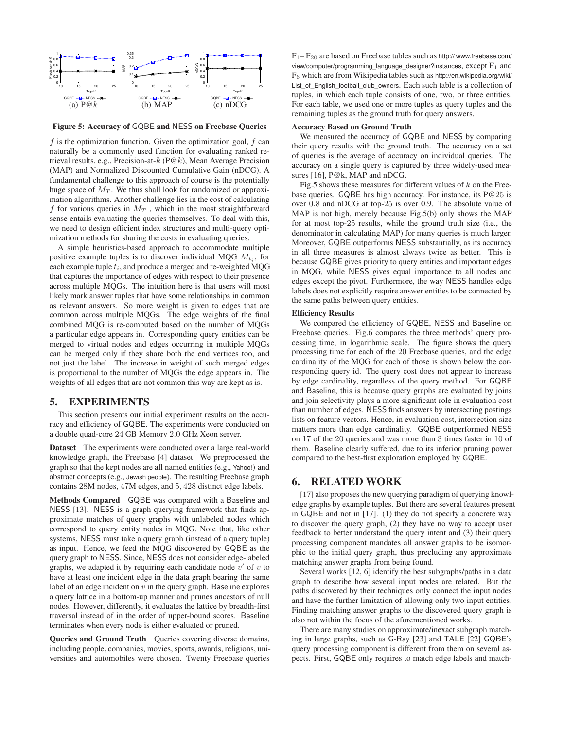

**Figure 5: Accuracy of** GQBE **and** NESS **on Freebase Queries**

 $f$  is the optimization function. Given the optimization goal,  $f$  can naturally be a commonly used function for evaluating ranked retrieval results, e.g., Precision-at- $k$  (P@k), Mean Average Precision (MAP) and Normalized Discounted Cumulative Gain (nDCG). A fundamental challenge to this approach of course is the potentially huge space of  $M_T$ . We thus shall look for randomized or approximation algorithms. Another challenge lies in the cost of calculating f for various queries in  $M_T$ , which in the most straightforward sense entails evaluating the queries themselves. To deal with this, we need to design efficient index structures and multi-query optimization methods for sharing the costs in evaluating queries.

A simple heuristics-based approach to accommodate multiple positive example tuples is to discover individual MQG  $M_{t_i}$ , for each example tuple  $t_i$ , and produce a merged and re-weighted MQG that captures the importance of edges with respect to their presence across multiple MQGs. The intuition here is that users will most likely mark answer tuples that have some relationships in common as relevant answers. So more weight is given to edges that are common across multiple MQGs. The edge weights of the final combined MQG is re-computed based on the number of MQGs a particular edge appears in. Corresponding query entities can be merged to virtual nodes and edges occurring in multiple MQGs can be merged only if they share both the end vertices too, and not just the label. The increase in weight of such merged edges is proportional to the number of MQGs the edge appears in. The weights of all edges that are not common this way are kept as is.

#### **5. EXPERIMENTS**

This section presents our initial experiment results on the accuracy and efficiency of GQBE. The experiments were conducted on a double quad-core 24 GB Memory 2.0 GHz Xeon server.

**Dataset** The experiments were conducted over a large real-world knowledge graph, the Freebase [4] dataset. We preprocessed the graph so that the kept nodes are all named entities (e.g., Yahoo!) and abstract concepts (e.g., Jewish people). The resulting Freebase graph contains 28M nodes, 47M edges, and 5, 428 distinct edge labels.

**Methods Compared** GQBE was compared with a Baseline and NESS [13]. NESS is a graph querying framework that finds approximate matches of query graphs with unlabeled nodes which correspond to query entity nodes in MQG. Note that, like other systems, NESS must take a query graph (instead of a query tuple) as input. Hence, we feed the MQG discovered by GQBE as the query graph to NESS. Since, NESS does not consider edge-labeled graphs, we adapted it by requiring each candidate node  $v'$  of  $v$  to have at least one incident edge in the data graph bearing the same label of an edge incident on  $v$  in the query graph. Baseline explores a query lattice in a bottom-up manner and prunes ancestors of null nodes. However, differently, it evaluates the lattice by breadth-first traversal instead of in the order of upper-bound scores. Baseline terminates when every node is either evaluated or pruned.

**Queries and Ground Truth** Queries covering diverse domains, including people, companies, movies, sports, awards, religions, universities and automobiles were chosen. Twenty Freebase queries  $F_1-F_{20}$  are based on Freebase tables such as http://www.freebase.com/ view/computer/programming\_language\_designer?instances, except  $F_1$  and F<sup>6</sup> which are from Wikipedia tables such as http://en.wikipedia.org/wiki/ List of English football club owners. Each such table is a collection of tuples, in which each tuple consists of one, two, or three entities. For each table, we used one or more tuples as query tuples and the remaining tuples as the ground truth for query answers.

#### **Accuracy Based on Ground Truth**

We measured the accuracy of GQBE and NESS by comparing their query results with the ground truth. The accuracy on a set of queries is the average of accuracy on individual queries. The accuracy on a single query is captured by three widely-used measures [16], P@k, MAP and nDCG.

Fig.5 shows these measures for different values of  $k$  on the Freebase queries. GQBE has high accuracy. For instance, its P@25 is over 0.8 and nDCG at top-25 is over 0.9. The absolute value of MAP is not high, merely because Fig.5(b) only shows the MAP for at most top-25 results, while the ground truth size (i.e., the denominator in calculating MAP) for many queries is much larger. Moreover, GQBE outperforms NESS substantially, as its accuracy in all three measures is almost always twice as better. This is because GQBE gives priority to query entities and important edges in MQG, while NESS gives equal importance to all nodes and edges except the pivot. Furthermore, the way NESS handles edge labels does not explicitly require answer entities to be connected by the same paths between query entities.

#### **Efficiency Results**

We compared the efficiency of GQBE, NESS and Baseline on Freebase queries. Fig.6 compares the three methods' query processing time, in logarithmic scale. The figure shows the query processing time for each of the 20 Freebase queries, and the edge cardinality of the MQG for each of those is shown below the corresponding query id. The query cost does not appear to increase by edge cardinality, regardless of the query method. For GQBE and Baseline, this is because query graphs are evaluated by joins and join selectivity plays a more significant role in evaluation cost than number of edges. NESS finds answers by intersecting postings lists on feature vectors. Hence, in evaluation cost, intersection size matters more than edge cardinality. GQBE outperformed NESS on 17 of the 20 queries and was more than 3 times faster in 10 of them. Baseline clearly suffered, due to its inferior pruning power compared to the best-first exploration employed by GQBE.

#### **6. RELATED WORK**

[17] also proposes the new querying paradigm of querying knowledge graphs by example tuples. But there are several features present in GQBE and not in [17]. (1) they do not specify a concrete way to discover the query graph, (2) they have no way to accept user feedback to better understand the query intent and (3) their query processing component mandates all answer graphs to be isomorphic to the initial query graph, thus precluding any approximate matching answer graphs from being found.

Several works [12, 6] identify the best subgraphs/paths in a data graph to describe how several input nodes are related. But the paths discovered by their techniques only connect the input nodes and have the further limitation of allowing only two input entities. Finding matching answer graphs to the discovered query graph is also not within the focus of the aforementioned works.

There are many studies on approximate/inexact subgraph matching in large graphs, such as G-Ray [23] and TALE [22] GQBE's query processing component is different from them on several aspects. First, GQBE only requires to match edge labels and match-